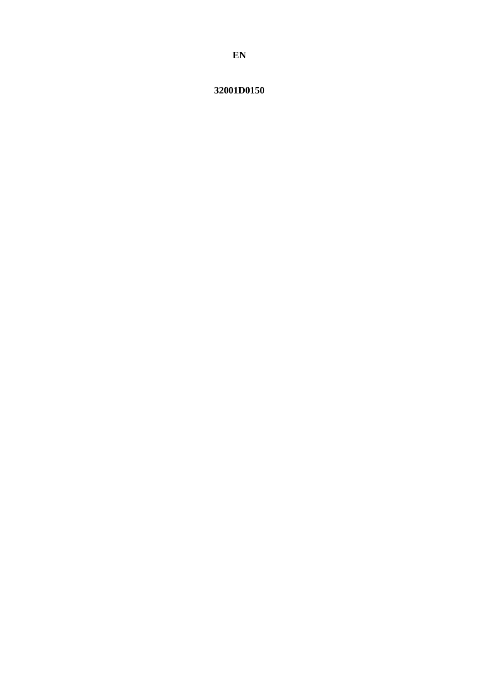# 32001D0150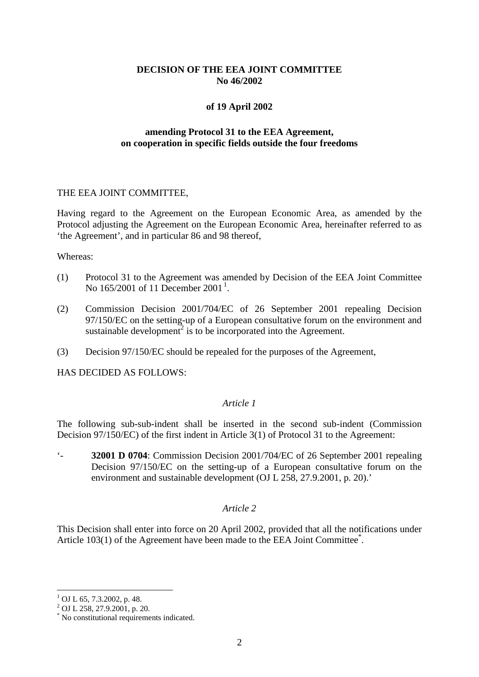# **DECISION OF THE EEA JOINT COMMITTEE No 46/2002**

## **of 19 April 2002**

# **amending Protocol 31 to the EEA Agreement, on cooperation in specific fields outside the four freedoms**

#### THE EEA JOINT COMMITTEE,

Having regard to the Agreement on the European Economic Area, as amended by the Protocol adjusting the Agreement on the European Economic Area, hereinafter referred to as 'the Agreement', and in particular 86 and 98 thereof,

#### Whereas:

- (1) Protocol 31 to the Agreement was amended by Decision of the EEA Joint Committee No [1](#page-1-0)65/2001 of 11 December 2001<sup>1</sup>.
- (2) Commission Decision 2001/704/EC of 26 September 2001 repealing Decision 97/150/EC on the setting-up of a European consultative forum on the environment and sustainable development<sup>2</sup> is to be incorporated into the Agreement.
- (3) Decision 97/150/EC should be repealed for the purposes of the Agreement,

HAS DECIDED AS FOLLOWS:

## *Article 1*

The following sub-sub-indent shall be inserted in the second sub-indent (Commission Decision 97/150/EC) of the first indent in Article 3(1) of Protocol 31 to the Agreement:

'- **32001 D 0704**: Commission Decision 2001/704/EC of 26 September 2001 repealing Decision 97/150/EC on the setting-up of a European consultative forum on the environment and sustainable development (OJ L 258, 27.9.2001, p. 20).'

## *Article 2*

This Decision shall enter into force on 20 April 2002, provided that all the notifications under Article 103(1) of the Agreement have been made to the EEA Joint Committee<sup>\*</sup>.

 $1$  OJ L 65, 7.3.2002, p. 48.

 $^{2}$  OJ L 258, 27.9.2001, p. 20.

<span id="page-1-0"></span><sup>\*</sup> No constitutional requirements indicated.